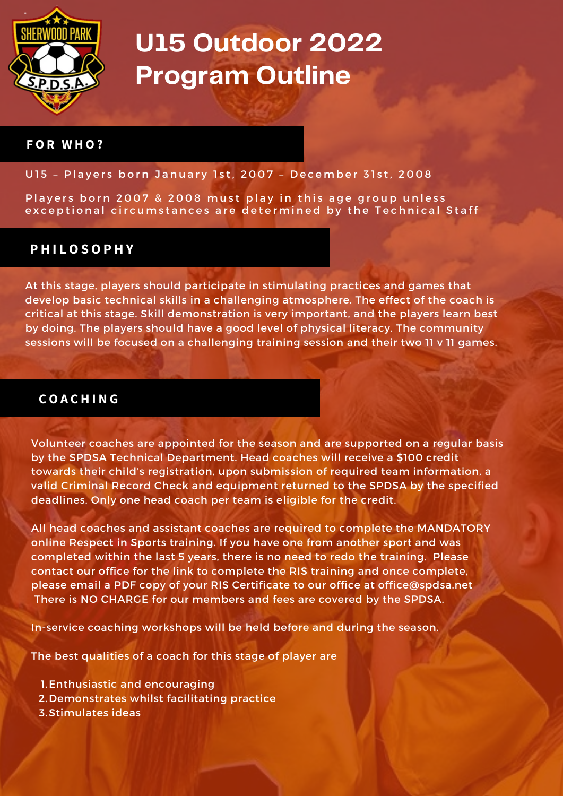

#### **F O R W H O ?**

#### U15 - Players born January 1st, 2007 - December 31st, 2008

Players born 2007 & 2008 must play in this age group unless exceptional circumstances are determined by the Technical Staff

## **P H I L O S O P H Y**

At this stage, players should participate in stimulating practices and games that develop basic technical skills in a challenging atmosphere. The effect of the coach is critical at this stage. Skill demonstration is very important, and the players learn best by doing. The players should have a good level of physical literacy. The community sessions will be focused on a challenging training session and their two 11 v 11 games.

## **C O A C H I N G**

Volunteer coaches are appointed for the season and are supported on a regular basis by the SPDSA Technical Department. Head coaches will receive a \$100 credit towards their child's registration, upon submission of required team information, a valid Criminal Record Check and equipment returned to the SPDSA by the specified deadlines. Only one head coach per team is eligible for the credit.

All head coaches and assistant coaches are required to complete the MANDATORY online Respect in Sports training. If you have one from another sport and was completed within the last 5 years, there is no need to redo the training. Please contact our office for the link to complete the RIS training and once complete, please email a PDF copy of your RIS Certificate to our office at [office@spdsa.net](mailto:office@spdsa.net) There is NO CHARGE for our members and fees are covered by the SPDSA.

In-service coaching workshops will be held before and during the season.

The best qualities of a coach for this stage of player are

- 1. Enthusiastic and encouraging
- 2. Demonstrates whilst facilitating practice
- 3. Stimulates ideas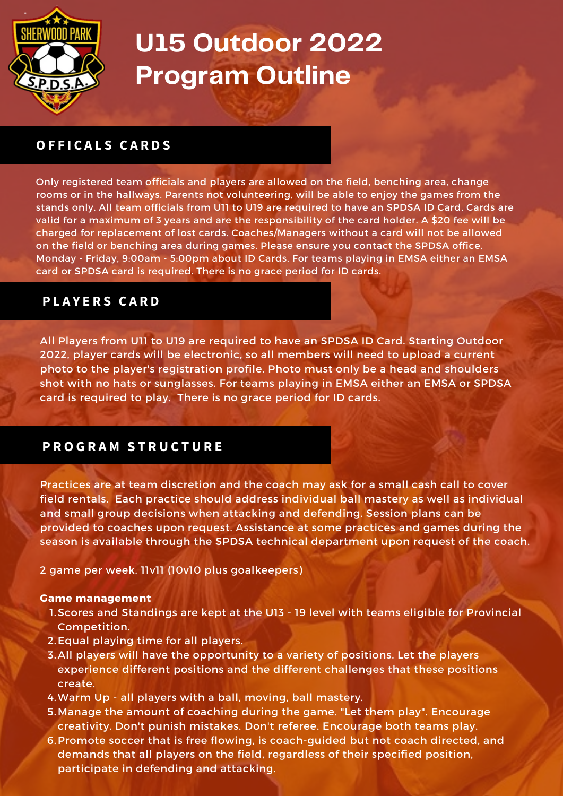

## **O F F I C A L S C A R D S**

Only registered team officials and players are allowed on the field, benching area, change rooms or in the hallways. Parents not volunteering, will be able to enjoy the games from the stands only. All team officials from U11 to U19 are required to have an SPDSA ID Card. Cards are valid for a maximum of 3 years and are the responsibility of the card holder. A \$20 fee will be charged for replacement of lost cards. Coaches/Managers without a card will not be allowed on the field or benching area during games. Please ensure you contact the SPDSA office, Monday - Friday, 9:00am - 5:00pm about ID Cards. For teams playing in EMSA either an EMSA card or SPDSA card is required. There is no grace period for ID cards.

### **P L A Y E R S C A R D**

All Players from U11 to U19 are required to have an SPDSA ID Card. Starting Outdoor 2022, player cards will be electronic, so all members will need to upload a current photo to the player's registration profile. Photo must only be a head and shoulders shot with no hats or sunglasses. For teams playing in EMSA either an EMSA or SPDSA card is required to play. There is no grace period for ID cards.

## **P R O G R A M S T R U C T U R E**

Practices are at team discretion and the coach may ask for a small cash call to cover field rentals. Each practice should address individual ball mastery as well as individual and small group decisions when attacking and defending. Session plans can be provided to coaches upon request. Assistance at some practices and games during the season is available through the SPDSA technical department upon request of the coach.

2 game per week. 11v11 (10v10 plus goalkeepers)

#### **Game management**

- 1. Scores and Standings are kept at the U13 19 level with teams eligible for Provincial Competition.
- 2. Equal playing time for all players.
- 3. All players will have the opportunity to a variety of positions. Let the players experience different positions and the different challenges that these positions create.
- Warm Up all players with a ball, moving, ball mastery. 4.
- 5. Manage the amount of coaching during the game. "Let them play". Encourage creativity. Don't punish mistakes. Don't referee. Encourage both teams play.
- 6. Promote soccer that is free flowing, is coach-guided but not coach directed, and demands that all players on the field, regardless of their specified position, participate in defending and attacking.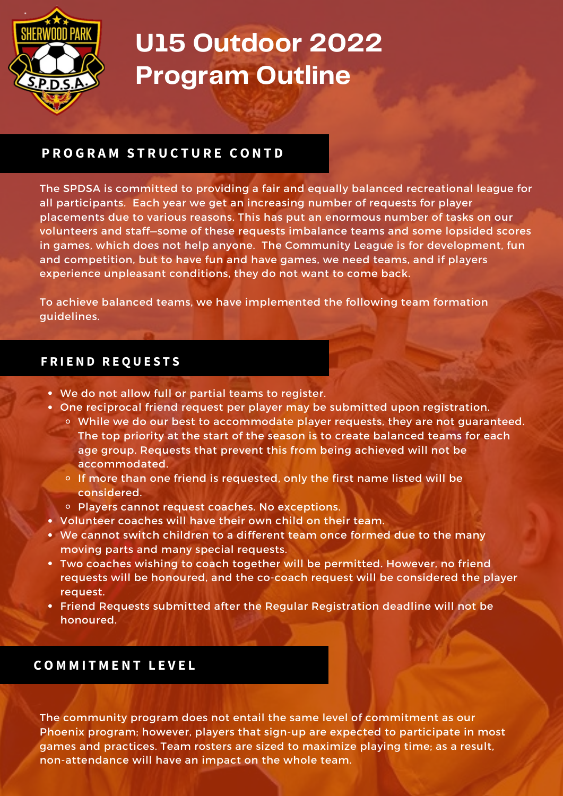

## **P R O G R A M S T R U C T U R E C O N T D**

The SPDSA is committed to providing a fair and equally balanced recreational league for all participants. Each year we get an increasing number of requests for player placements due to various reasons. This has put an enormous number of tasks on our volunteers and staff—some of these requests imbalance teams and some lopsided scores in games, which does not help anyone. The Community League is for development, fun and competition, but to have fun and have games, we need teams, and if players experience unpleasant conditions, they do not want to come back.

To achieve balanced teams, we have implemented the following team formation guidelines.

### **F R I E N D R E Q U E S T S**

- We do not allow full or partial teams to register.
- One reciprocal friend request per player may be submitted upon registration.
	- While we do our best to accommodate player requests, they are not guaranteed. The top priority at the start of the season is to create balanced teams for each age group. Requests that prevent this from being achieved will not be accommodated.
	- $\circ$  If more than one friend is requested, only the first name listed will be considered.
	- o Players cannot request coaches. No exceptions.
- Volunteer coaches will have their own child on their team.
- We cannot switch children to a different team once formed due to the many moving parts and many special requests.
- Two coaches wishing to coach together will be permitted. However, no friend requests will be honoured, and the co-coach request will be considered the player request.
- Friend Requests submitted after the Regular Registration deadline will not be honoured.

### **C O M M I T M E N T L E V E L**

The community program does not entail the same level of commitment as our Phoenix program; however, players that sign-up are expected to participate in most games and practices. Team rosters are sized to maximize playing time; as a result, non-attendance will have an impact on the whole team.